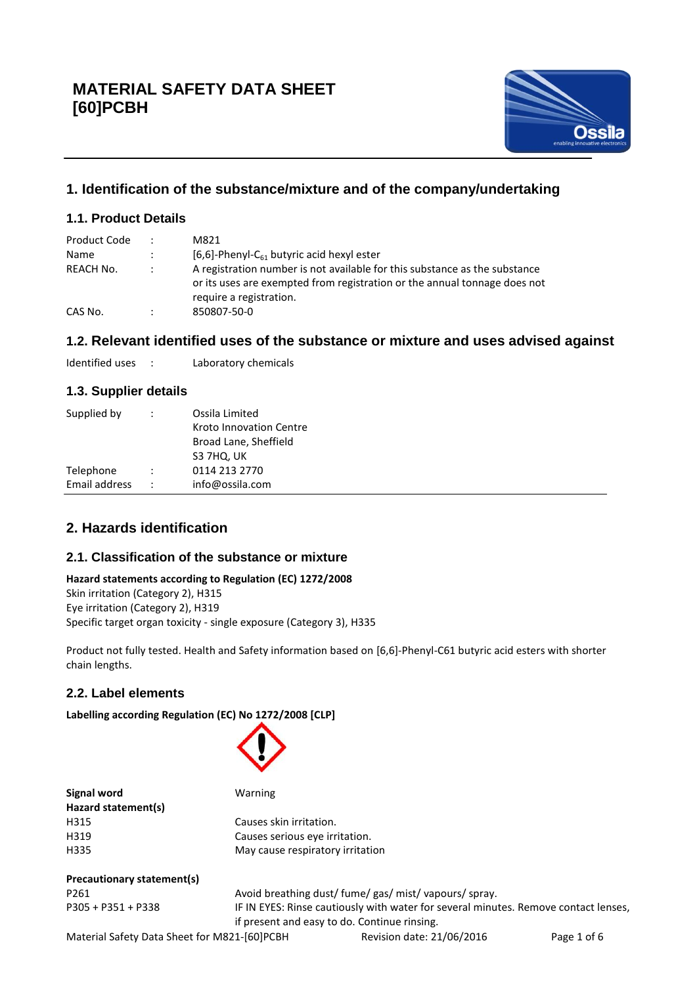

# **1. Identification of the substance/mixture and of the company/undertaking**

# **1.1. Product Details**

| Product Code | $\ddot{\phantom{0}}$ | M821                                                                                                                                                                               |
|--------------|----------------------|------------------------------------------------------------------------------------------------------------------------------------------------------------------------------------|
| Name         | $\ddot{\phantom{0}}$ | $[6,6]$ -Phenyl-C <sub>61</sub> butyric acid hexyl ester                                                                                                                           |
| REACH No.    |                      | A registration number is not available for this substance as the substance<br>or its uses are exempted from registration or the annual tonnage does not<br>require a registration. |
| CAS No.      | ÷                    | 850807-50-0                                                                                                                                                                        |

# **1.2. Relevant identified uses of the substance or mixture and uses advised against**

| Identified uses |  | Laboratory chemicals |
|-----------------|--|----------------------|
|-----------------|--|----------------------|

# **1.3. Supplier details**

| Supplied by   | Ossila Limited          |  |  |
|---------------|-------------------------|--|--|
|               | Kroto Innovation Centre |  |  |
|               | Broad Lane, Sheffield   |  |  |
|               | S3 7HQ, UK              |  |  |
| Telephone     | 0114 213 2770           |  |  |
| Email address | info@ossila.com         |  |  |

# **2. Hazards identification**

# **2.1. Classification of the substance or mixture**

#### **Hazard statements according to Regulation (EC) 1272/2008**

Skin irritation (Category 2), H315 Eye irritation (Category 2), H319 Specific target organ toxicity - single exposure (Category 3), H335

Product not fully tested. Health and Safety information based on [6,6]-Phenyl-C61 butyric acid esters with shorter chain lengths.

# **2.2. Label elements**

**Labelling according Regulation (EC) No 1272/2008 [CLP]**

| Signal word                 | Warning                                                                             |
|-----------------------------|-------------------------------------------------------------------------------------|
| Hazard statement(s)<br>H315 | Causes skin irritation.                                                             |
|                             |                                                                                     |
| H319                        | Causes serious eye irritation.                                                      |
| H335                        | May cause respiratory irritation                                                    |
| Precautionary statement(s)  |                                                                                     |
| P <sub>261</sub>            | Avoid breathing dust/ fume/ gas/ mist/ vapours/ spray.                              |
| $P305 + P351 + P338$        | IF IN EYES: Rinse cautiously with water for several minutes. Remove contact lenses, |
|                             | if present and easy to do. Continue rinsing.                                        |
|                             |                                                                                     |

Material Safety Data Sheet for M821-[60]PCBH Revision date: 21/06/2016 Page 1 of 6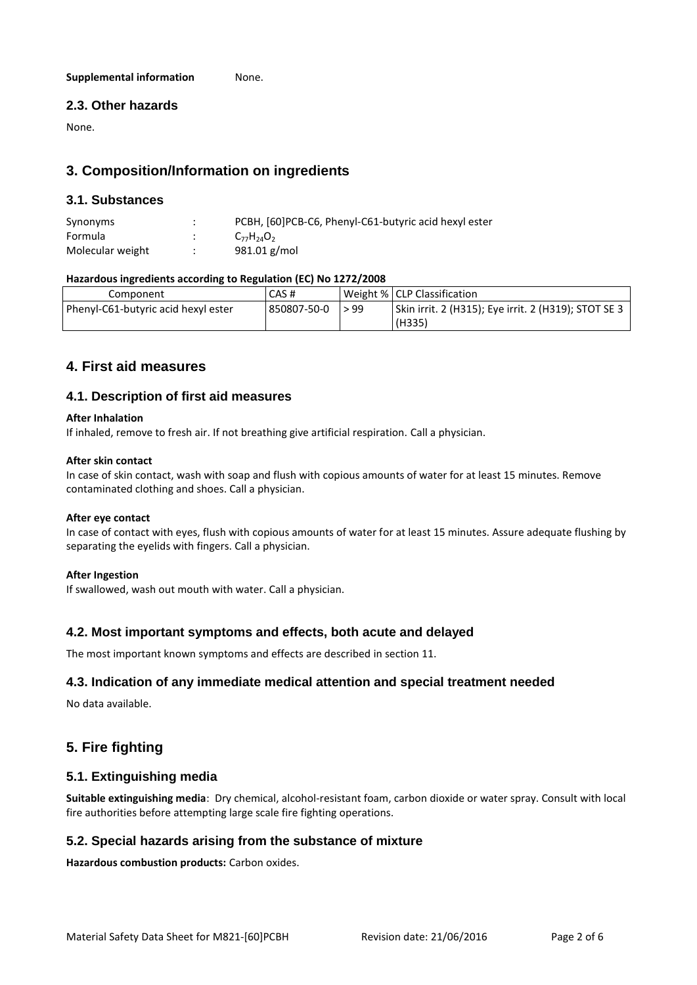#### **Supplemental information** None.

### **2.3. Other hazards**

None.

# **3. Composition/Information on ingredients**

#### **3.1. Substances**

| Synonyms         | PCBH, [60]PCB-C6, Phenyl-C61-butyric acid hexyl ester |
|------------------|-------------------------------------------------------|
| Formula          | $C_{77}H_{24}O_2$                                     |
| Molecular weight | $981.01$ g/mol                                        |

#### **Hazardous ingredients according to Regulation (EC) No 1272/2008**

| Component                           | CAS#        |      | Weight %   CLP Classification                        |
|-------------------------------------|-------------|------|------------------------------------------------------|
| Phenyl-C61-butyric acid hexyl ester | 850807-50-0 | > 99 | Skin irrit. 2 (H315); Eye irrit. 2 (H319); STOT SE 3 |
|                                     |             |      | (H335)                                               |

# **4. First aid measures**

### **4.1. Description of first aid measures**

#### **After Inhalation**

If inhaled, remove to fresh air. If not breathing give artificial respiration. Call a physician.

#### **After skin contact**

In case of skin contact, wash with soap and flush with copious amounts of water for at least 15 minutes. Remove contaminated clothing and shoes. Call a physician.

#### **After eye contact**

In case of contact with eyes, flush with copious amounts of water for at least 15 minutes. Assure adequate flushing by separating the eyelids with fingers. Call a physician.

#### **After Ingestion**

If swallowed, wash out mouth with water. Call a physician.

#### **4.2. Most important symptoms and effects, both acute and delayed**

The most important known symptoms and effects are described in section 11.

#### **4.3. Indication of any immediate medical attention and special treatment needed**

No data available.

# **5. Fire fighting**

### **5.1. Extinguishing media**

**Suitable extinguishing media**: Dry chemical, alcohol-resistant foam, carbon dioxide or water spray. Consult with local fire authorities before attempting large scale fire fighting operations.

#### **5.2. Special hazards arising from the substance of mixture**

**Hazardous combustion products:** Carbon oxides.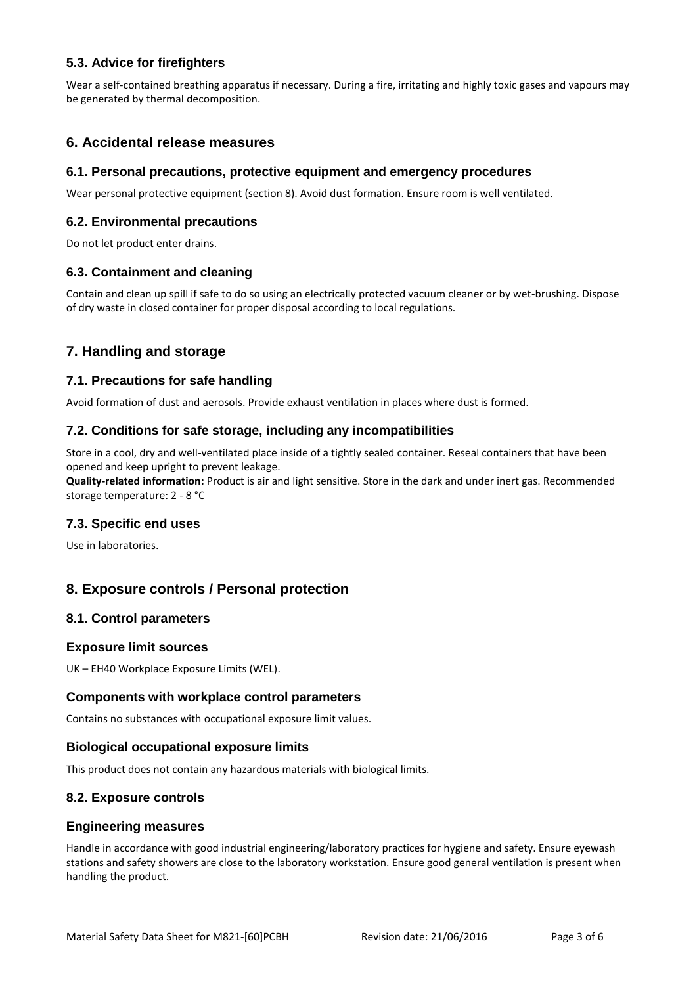# **5.3. Advice for firefighters**

Wear a self-contained breathing apparatus if necessary. During a fire, irritating and highly toxic gases and vapours may be generated by thermal decomposition.

# **6. Accidental release measures**

#### **6.1. Personal precautions, protective equipment and emergency procedures**

Wear personal protective equipment (section 8). Avoid dust formation. Ensure room is well ventilated.

#### **6.2. Environmental precautions**

Do not let product enter drains.

#### **6.3. Containment and cleaning**

Contain and clean up spill if safe to do so using an electrically protected vacuum cleaner or by wet-brushing. Dispose of dry waste in closed container for proper disposal according to local regulations.

# **7. Handling and storage**

#### **7.1. Precautions for safe handling**

Avoid formation of dust and aerosols. Provide exhaust ventilation in places where dust is formed.

#### **7.2. Conditions for safe storage, including any incompatibilities**

Store in a cool, dry and well-ventilated place inside of a tightly sealed container. Reseal containers that have been opened and keep upright to prevent leakage.

**Quality-related information:** Product is air and light sensitive. Store in the dark and under inert gas. Recommended storage temperature: 2 - 8 °C

#### **7.3. Specific end uses**

Use in laboratories.

# **8. Exposure controls / Personal protection**

#### **8.1. Control parameters**

#### **Exposure limit sources**

UK – EH40 Workplace Exposure Limits (WEL).

#### **Components with workplace control parameters**

Contains no substances with occupational exposure limit values.

#### **Biological occupational exposure limits**

This product does not contain any hazardous materials with biological limits.

#### **8.2. Exposure controls**

#### **Engineering measures**

Handle in accordance with good industrial engineering/laboratory practices for hygiene and safety. Ensure eyewash stations and safety showers are close to the laboratory workstation. Ensure good general ventilation is present when handling the product.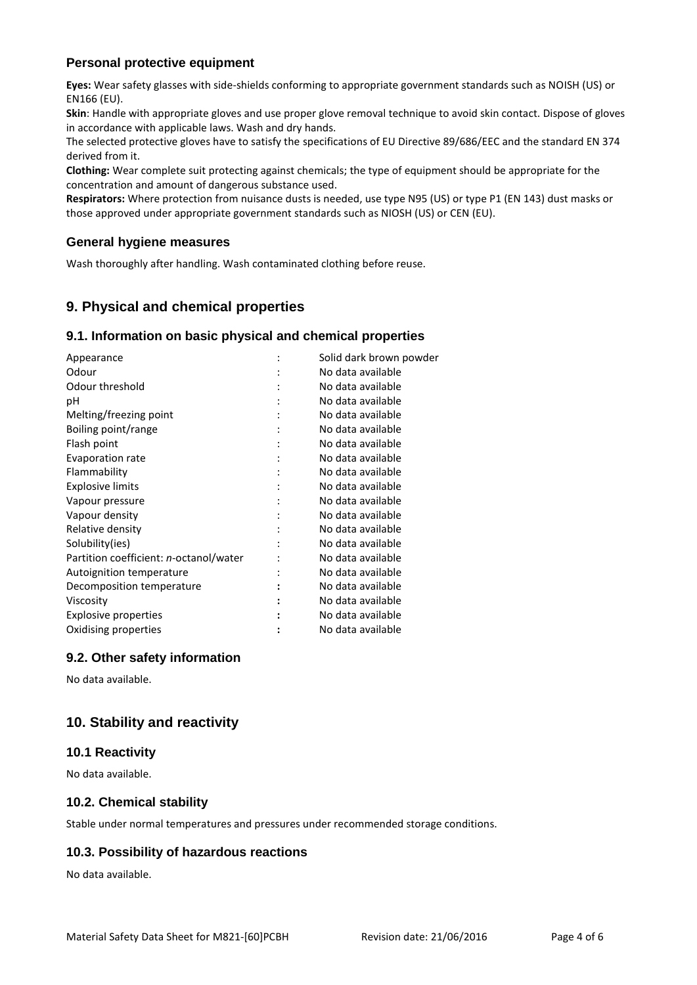### **Personal protective equipment**

**Eyes:** Wear safety glasses with side-shields conforming to appropriate government standards such as NOISH (US) or EN166 (EU).

**Skin**: Handle with appropriate gloves and use proper glove removal technique to avoid skin contact. Dispose of gloves in accordance with applicable laws. Wash and dry hands.

The selected protective gloves have to satisfy the specifications of EU Directive 89/686/EEC and the standard EN 374 derived from it.

**Clothing:** Wear complete suit protecting against chemicals; the type of equipment should be appropriate for the concentration and amount of dangerous substance used.

**Respirators:** Where protection from nuisance dusts is needed, use type N95 (US) or type P1 (EN 143) dust masks or those approved under appropriate government standards such as NIOSH (US) or CEN (EU).

#### **General hygiene measures**

Wash thoroughly after handling. Wash contaminated clothing before reuse.

# **9. Physical and chemical properties**

### **9.1. Information on basic physical and chemical properties**

| Appearance                             | Solid dark brown powder |
|----------------------------------------|-------------------------|
| Odour                                  | No data available       |
| Odour threshold                        | No data available       |
| рH                                     | No data available       |
| Melting/freezing point                 | No data available       |
| Boiling point/range                    | No data available       |
| Flash point                            | No data available       |
| Evaporation rate                       | No data available       |
| Flammability                           | No data available       |
| <b>Explosive limits</b>                | No data available       |
| Vapour pressure                        | No data available       |
| Vapour density                         | No data available       |
| Relative density                       | No data available       |
| Solubility(ies)                        | No data available       |
| Partition coefficient: n-octanol/water | No data available       |
| Autoignition temperature               | No data available       |
| Decomposition temperature              | No data available       |
| Viscosity                              | No data available       |
| Explosive properties                   | No data available       |
| Oxidising properties                   | No data available       |
|                                        |                         |

#### **9.2. Other safety information**

No data available.

# **10. Stability and reactivity**

#### **10.1 Reactivity**

No data available.

#### **10.2. Chemical stability**

Stable under normal temperatures and pressures under recommended storage conditions.

# **10.3. Possibility of hazardous reactions**

No data available.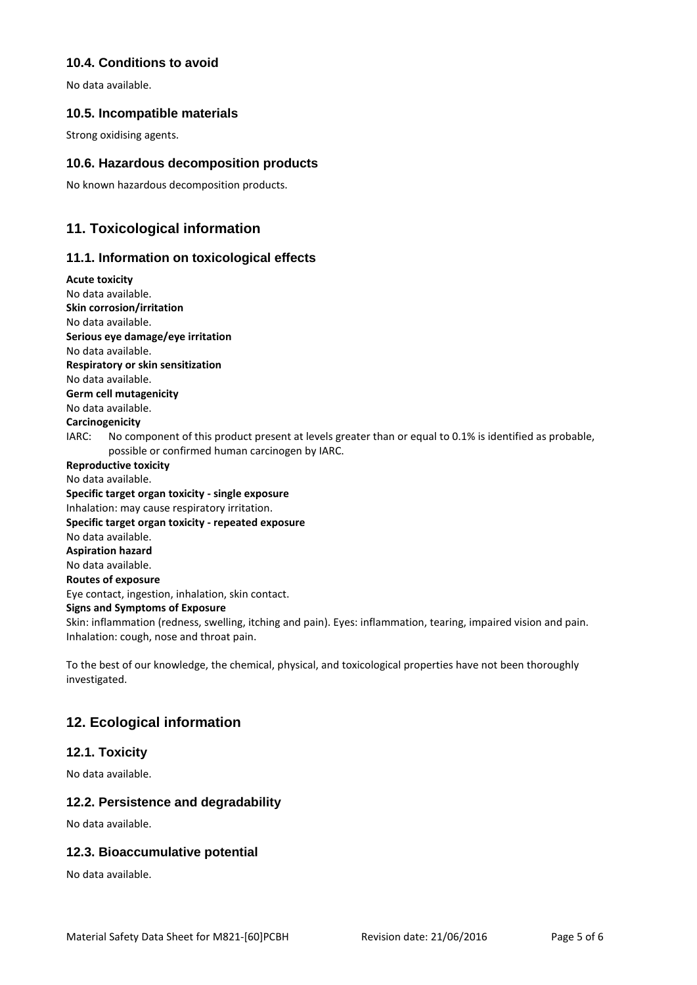### **10.4. Conditions to avoid**

No data available.

### **10.5. Incompatible materials**

Strong oxidising agents.

### **10.6. Hazardous decomposition products**

No known hazardous decomposition products.

# **11. Toxicological information**

### **11.1. Information on toxicological effects**

**Acute toxicity** No data available. **Skin corrosion/irritation** No data available. **Serious eye damage/eye irritation** No data available. **Respiratory or skin sensitization** No data available. **Germ cell mutagenicity** No data available. **Carcinogenicity** IARC: No component of this product present at levels greater than or equal to 0.1% is identified as probable, possible or confirmed human carcinogen by IARC. **Reproductive toxicity** No data available. **Specific target organ toxicity - single exposure** Inhalation: may cause respiratory irritation. **Specific target organ toxicity - repeated exposure** No data available. **Aspiration hazard** No data available. **Routes of exposure** Eye contact, ingestion, inhalation, skin contact. **Signs and Symptoms of Exposure** Skin: inflammation (redness, swelling, itching and pain). Eyes: inflammation, tearing, impaired vision and pain. Inhalation: cough, nose and throat pain.

To the best of our knowledge, the chemical, physical, and toxicological properties have not been thoroughly investigated.

# **12. Ecological information**

# **12.1. Toxicity**

No data available.

# **12.2. Persistence and degradability**

No data available.

# **12.3. Bioaccumulative potential**

No data available.